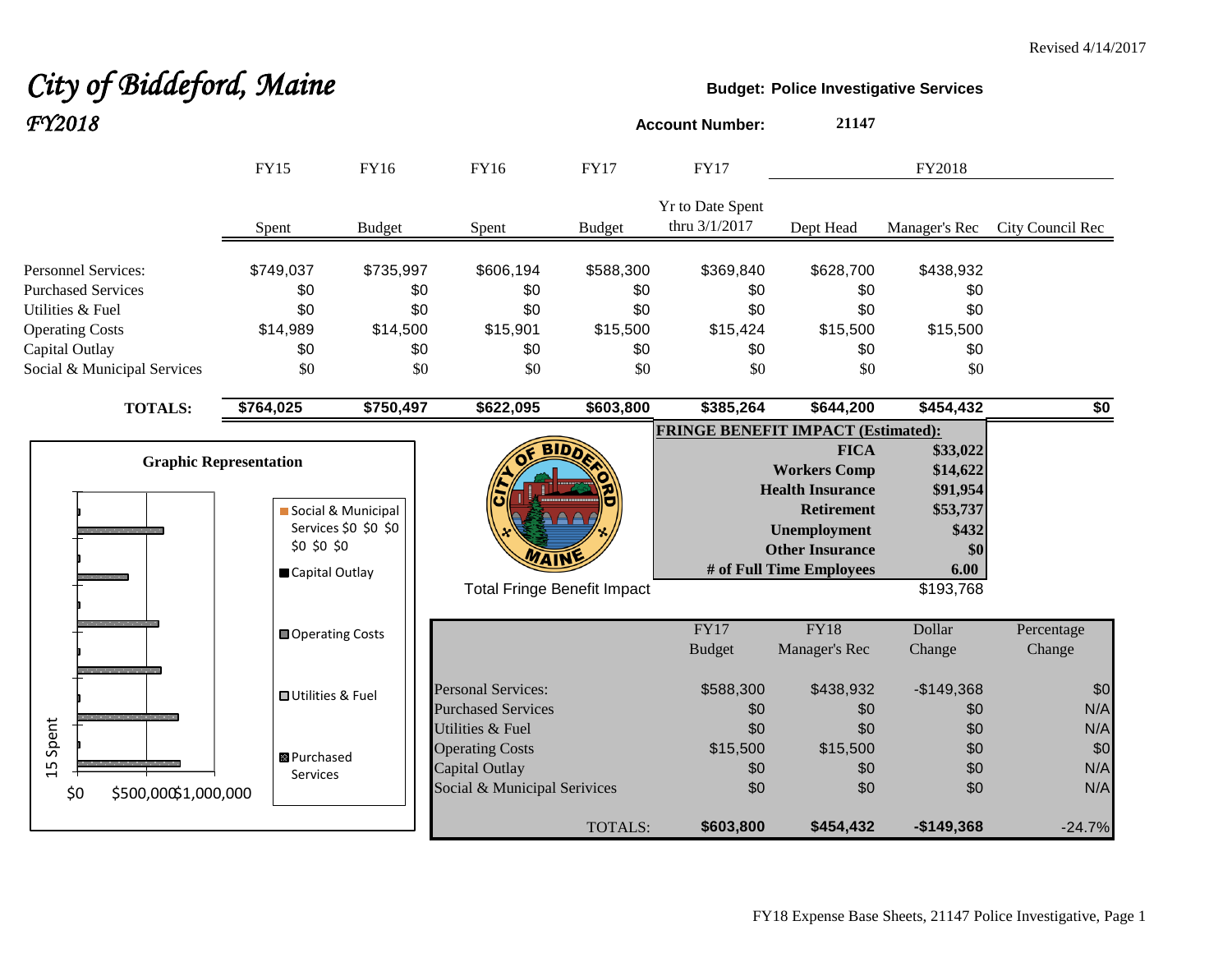# *City of Biddeford, Maine* **Budget:** Police Investigative Services *FY2018* **Account Number: <sup>21147</sup>**

|                                                                                                                         | <b>FY15</b>                                                    | FY16                                       | FY16                                                                                         | <b>FY17</b>                                | <b>FY17</b>                                |                                                                                                                                                                 | FY2018                                                                            |                          |
|-------------------------------------------------------------------------------------------------------------------------|----------------------------------------------------------------|--------------------------------------------|----------------------------------------------------------------------------------------------|--------------------------------------------|--------------------------------------------|-----------------------------------------------------------------------------------------------------------------------------------------------------------------|-----------------------------------------------------------------------------------|--------------------------|
|                                                                                                                         | Spent                                                          | <b>Budget</b>                              | Spent                                                                                        | <b>Budget</b>                              | <b>Yr to Date Spent</b><br>thru 3/1/2017   | Dept Head                                                                                                                                                       | Manager's Rec                                                                     | City Council Rec         |
| <b>Personnel Services:</b><br><b>Purchased Services</b><br>Utilities & Fuel<br><b>Operating Costs</b><br>Capital Outlay | \$749,037<br>\$0<br>\$0<br>\$14,989<br>\$0                     | \$735,997<br>\$0<br>\$0<br>\$14,500<br>\$0 | \$606,194<br>\$0<br>\$0<br>\$15,901<br>\$0                                                   | \$588,300<br>\$0<br>\$0<br>\$15,500<br>\$0 | \$369,840<br>\$0<br>\$0<br>\$15,424<br>\$0 | \$628,700<br>\$0<br>\$0<br>\$15,500<br>\$0                                                                                                                      | \$438,932<br>\$0<br>\$0<br>\$15,500<br>\$0                                        |                          |
| Social & Municipal Services                                                                                             | \$0                                                            | \$0                                        | \$0                                                                                          | \$0                                        | \$0                                        | \$0                                                                                                                                                             | \$0                                                                               |                          |
| <b>TOTALS:</b>                                                                                                          | \$764,025                                                      | \$750,497                                  | \$622,095                                                                                    | \$603,800                                  | \$385,264                                  | \$644,200                                                                                                                                                       | \$454,432                                                                         | \$0                      |
|                                                                                                                         | <b>Graphic Representation</b><br>\$0 \$0 \$0<br>Capital Outlay | Social & Municipal<br>Services \$0 \$0 \$0 | <b>Total Fringe Benefit Impact</b>                                                           | <b>BIDD</b>                                | <b>FRINGE BENEFIT IMPACT (Estimated):</b>  | <b>FICA</b><br><b>Workers Comp</b><br><b>Health Insurance</b><br><b>Retirement</b><br><b>Unemployment</b><br><b>Other Insurance</b><br># of Full Time Employees | \$33,022<br>\$14,622<br>\$91,954<br>\$53,737<br>\$432<br>\$0<br>6.00<br>\$193,768 |                          |
|                                                                                                                         | Operating Costs                                                |                                            |                                                                                              |                                            | FY17<br><b>Budget</b>                      | <b>FY18</b><br>Manager's Rec                                                                                                                                    | Dollar<br>Change                                                                  | Percentage<br>Change     |
|                                                                                                                         | <b>□</b> Utilities & Fuel                                      |                                            | <b>Personal Services:</b><br><b>Purchased Services</b>                                       |                                            | \$588,300<br>\$0                           | \$438,932<br>\$0                                                                                                                                                | $-$149,368$<br>\$0                                                                | \$0<br>N/A               |
| Spent<br>15<br>\$0<br>\$500,000\$1,000,000                                                                              | <b>B</b> Purchased<br>Services                                 |                                            | Utilities & Fuel<br><b>Operating Costs</b><br>Capital Outlay<br>Social & Municipal Serivices |                                            | \$0<br>\$15,500<br>\$0<br>\$0              | \$0<br>\$15,500<br>\$0<br>\$0                                                                                                                                   | \$0<br>\$0<br>\$0<br>\$0                                                          | N/A<br>\$0<br>N/A<br>N/A |
|                                                                                                                         |                                                                |                                            |                                                                                              | <b>TOTALS:</b>                             | \$603,800                                  | \$454,432                                                                                                                                                       | $-$149,368$                                                                       | $-24.7%$                 |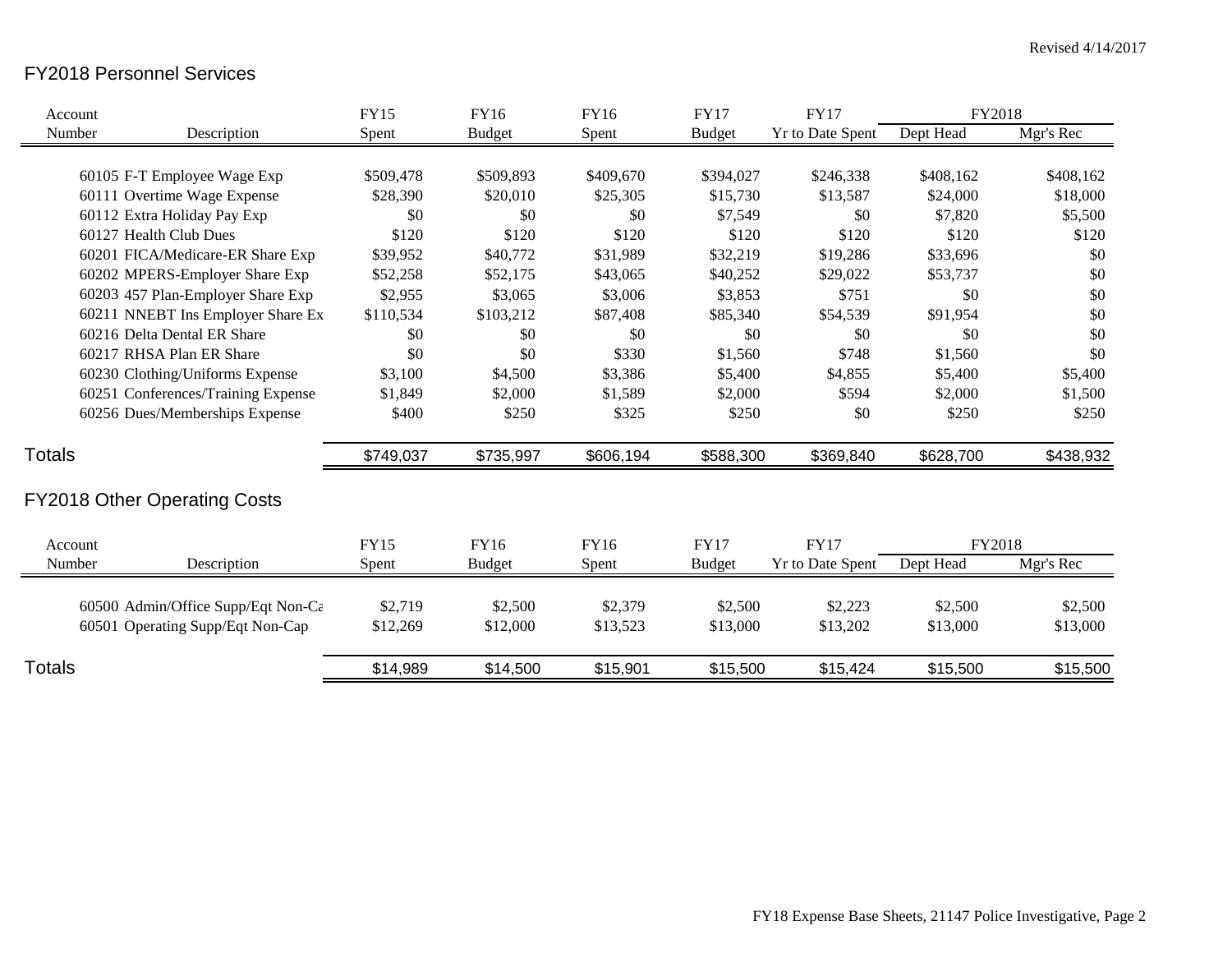## FY2018 Personnel Services

| Account       |                                     | <b>FY15</b> | <b>FY16</b>   | FY16        | <b>FY17</b>   | <b>FY17</b>             | FY2018    |           |
|---------------|-------------------------------------|-------------|---------------|-------------|---------------|-------------------------|-----------|-----------|
| Number        | Description                         | Spent       | <b>Budget</b> | Spent       | <b>Budget</b> | <b>Yr to Date Spent</b> | Dept Head | Mgr's Rec |
|               | 60105 F-T Employee Wage Exp         | \$509,478   | \$509,893     | \$409,670   | \$394,027     | \$246,338               | \$408,162 | \$408,162 |
|               | 60111 Overtime Wage Expense         | \$28,390    | \$20,010      | \$25,305    | \$15,730      | \$13,587                | \$24,000  | \$18,000  |
|               | 60112 Extra Holiday Pay Exp         | \$0         | \$0           | \$0         | \$7,549       | \$0                     | \$7,820   | \$5,500   |
|               | 60127 Health Club Dues              | \$120       | \$120         | \$120       | \$120         | \$120                   | \$120     | \$120     |
|               |                                     |             |               |             |               |                         |           |           |
|               | 60201 FICA/Medicare-ER Share Exp    | \$39,952    | \$40,772      | \$31,989    | \$32,219      | \$19,286                | \$33,696  | \$0       |
|               | 60202 MPERS-Employer Share Exp      | \$52,258    | \$52,175      | \$43,065    | \$40,252      | \$29,022                | \$53,737  | \$0       |
|               | 60203 457 Plan-Employer Share Exp   | \$2,955     | \$3,065       | \$3,006     | \$3,853       | \$751                   | \$0       | \$0       |
|               | 60211 NNEBT Ins Employer Share Ex   | \$110,534   | \$103,212     | \$87,408    | \$85,340      | \$54,539                | \$91,954  | \$0       |
|               | 60216 Delta Dental ER Share         | \$0         | \$0           | \$0         | \$0           | \$0                     | \$0       | \$0       |
|               | 60217 RHSA Plan ER Share            | \$0         | \$0           | \$330       | \$1,560       | \$748                   | \$1,560   | \$0       |
|               | 60230 Clothing/Uniforms Expense     | \$3,100     | \$4,500       | \$3,386     | \$5,400       | \$4,855                 | \$5,400   | \$5,400   |
|               | 60251 Conferences/Training Expense  | \$1,849     | \$2,000       | \$1,589     | \$2,000       | \$594                   | \$2,000   | \$1,500   |
|               | 60256 Dues/Memberships Expense      | \$400       | \$250         | \$325       | \$250         | \$0                     | \$250     | \$250     |
| <b>Totals</b> |                                     | \$749,037   | \$735,997     | \$606,194   | \$588,300     | \$369,840               | \$628,700 | \$438,932 |
|               | <b>FY2018 Other Operating Costs</b> |             |               |             |               |                         |           |           |
| Account       |                                     | <b>FY15</b> | FY16          | <b>FY16</b> | <b>FY17</b>   | <b>FY17</b>             | FY2018    |           |
| Number        | Description                         | Spent       | <b>Budget</b> | Spent       | <b>Budget</b> | <b>Yr to Date Spent</b> | Dept Head | Mgr's Rec |
|               | 60500 Admin/Office Supp/Eqt Non-Ca  | \$2,719     | \$2,500       | \$2,379     | \$2,500       | \$2,223                 | \$2,500   | \$2,500   |
|               | 60501 Operating Supp/Eqt Non-Cap    | \$12,269    | \$12,000      | \$13,523    | \$13,000      | \$13,202                | \$13,000  | \$13,000  |
| Totals        |                                     | \$14,989    | \$14,500      | \$15,901    | \$15,500      | \$15,424                | \$15,500  | \$15,500  |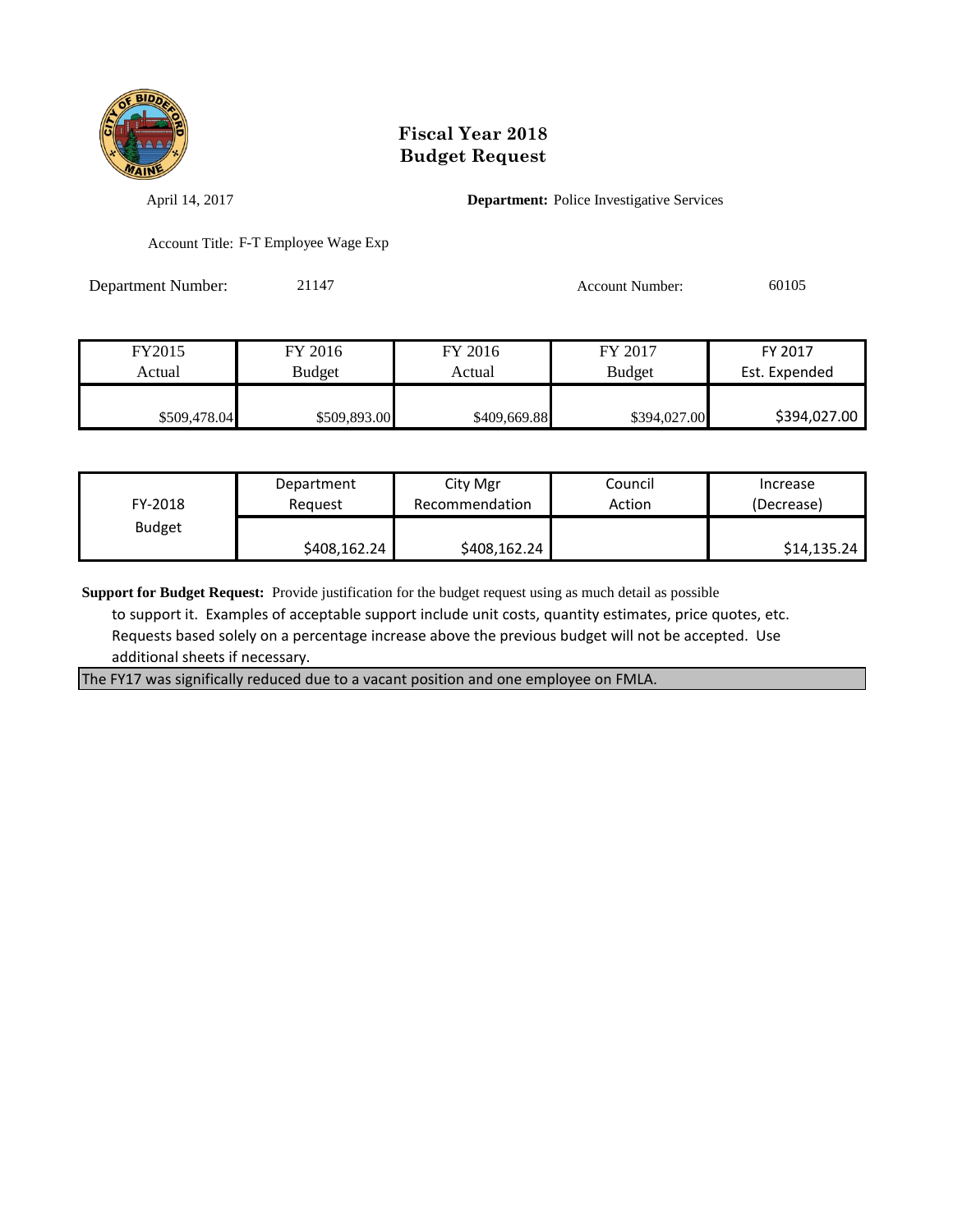

April 14, 2017 **Department:** Police Investigative Services

Account Title: F-T Employee Wage Exp

Department Number: 21147 Account Number: 60105

| FY2015       | FY 2016       | FY 2016      | FY 2017       | FY 2017       |
|--------------|---------------|--------------|---------------|---------------|
| Actual       | <b>Budget</b> | Actual       | <b>Budget</b> | Est. Expended |
|              |               |              |               |               |
| \$509,478.04 | \$509,893.00  | \$409,669.88 | \$394,027.00  | \$394,027.00  |

| FY-2018       | Department   | City Mgr       | Council | Increase    |
|---------------|--------------|----------------|---------|-------------|
|               | Reauest      | Recommendation | Action  | (Decrease)  |
| <b>Budget</b> | \$408,162.24 | \$408,162.24   |         | \$14,135.24 |

**Support for Budget Request:** Provide justification for the budget request using as much detail as possible

 to support it. Examples of acceptable support include unit costs, quantity estimates, price quotes, etc. Requests based solely on a percentage increase above the previous budget will not be accepted. Use additional sheets if necessary.

The FY17 was significally reduced due to a vacant position and one employee on FMLA.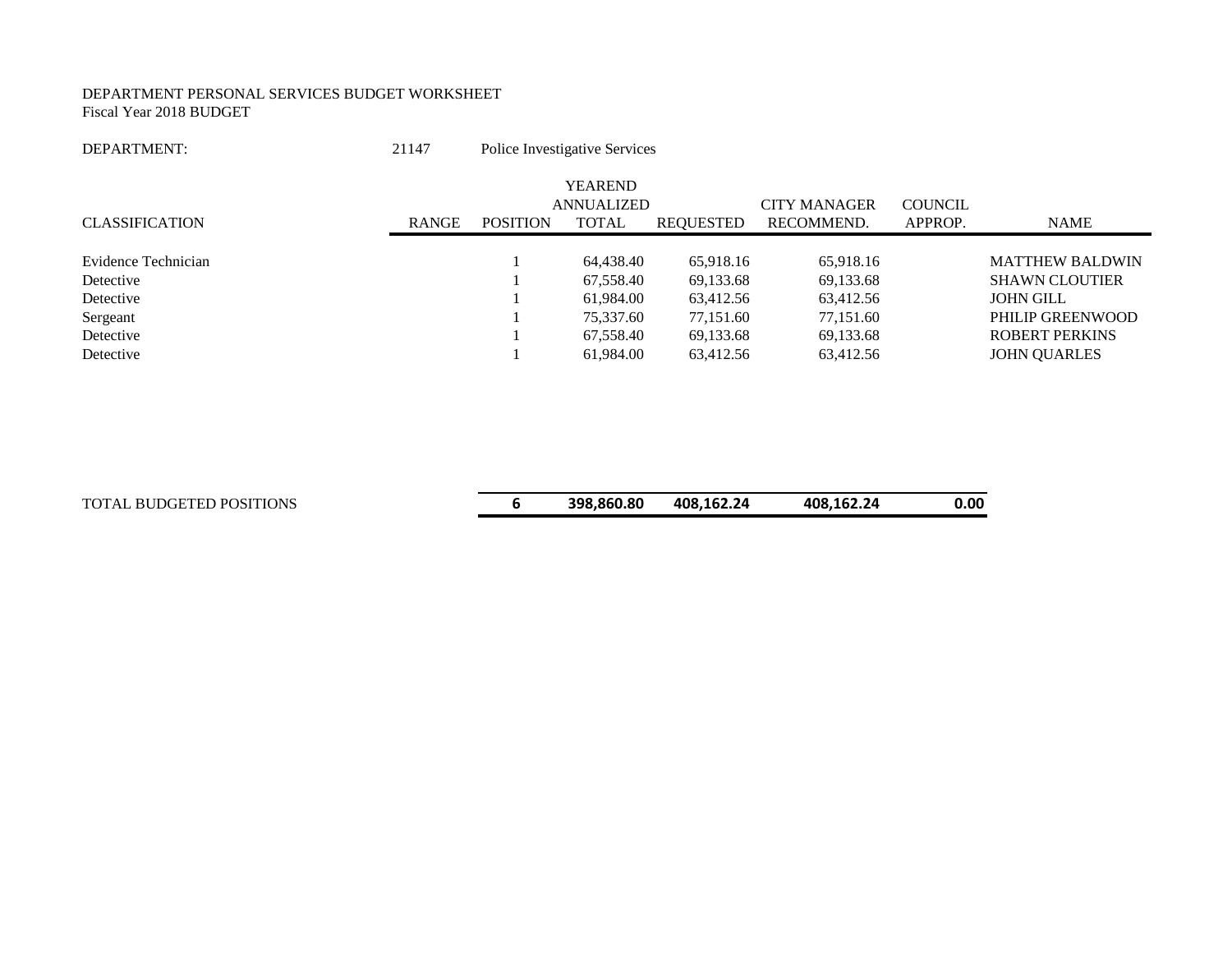#### DEPARTMENT PERSONAL SERVICES BUDGET WORKSHEET Fiscal Year 2018 BUDGET

| DEPARTMENT:           | 21147        | Police Investigative Services |                   |           |                     |                |                        |
|-----------------------|--------------|-------------------------------|-------------------|-----------|---------------------|----------------|------------------------|
|                       |              |                               | <b>YEAREND</b>    |           |                     |                |                        |
|                       |              |                               | <b>ANNUALIZED</b> |           | <b>CITY MANAGER</b> | <b>COUNCIL</b> |                        |
| <b>CLASSIFICATION</b> | <b>RANGE</b> | <b>POSITION</b>               | <b>TOTAL</b>      | REOUESTED | RECOMMEND.          | APPROP.        | <b>NAME</b>            |
|                       |              |                               |                   |           |                     |                |                        |
| Evidence Technician   |              |                               | 64,438.40         | 65,918.16 | 65,918.16           |                | <b>MATTHEW BALDWIN</b> |
| Detective             |              |                               | 67,558.40         | 69,133.68 | 69,133.68           |                | <b>SHAWN CLOUTIER</b>  |
| Detective             |              |                               | 61,984.00         | 63,412.56 | 63,412.56           |                | <b>JOHN GILL</b>       |
| Sergeant              |              |                               | 75,337.60         | 77,151.60 | 77,151.60           |                | PHILIP GREENWOOD       |
| Detective             |              |                               | 67,558.40         | 69,133.68 | 69,133.68           |                | <b>ROBERT PERKINS</b>  |
| Detective             |              |                               | 61.984.00         | 63,412.56 | 63,412.56           |                | <b>JOHN QUARLES</b>    |

| TOTAL BUDGETED POSITIONS | 398,860.80 | 408,162.24 | 408,162.24 | 0.00 |
|--------------------------|------------|------------|------------|------|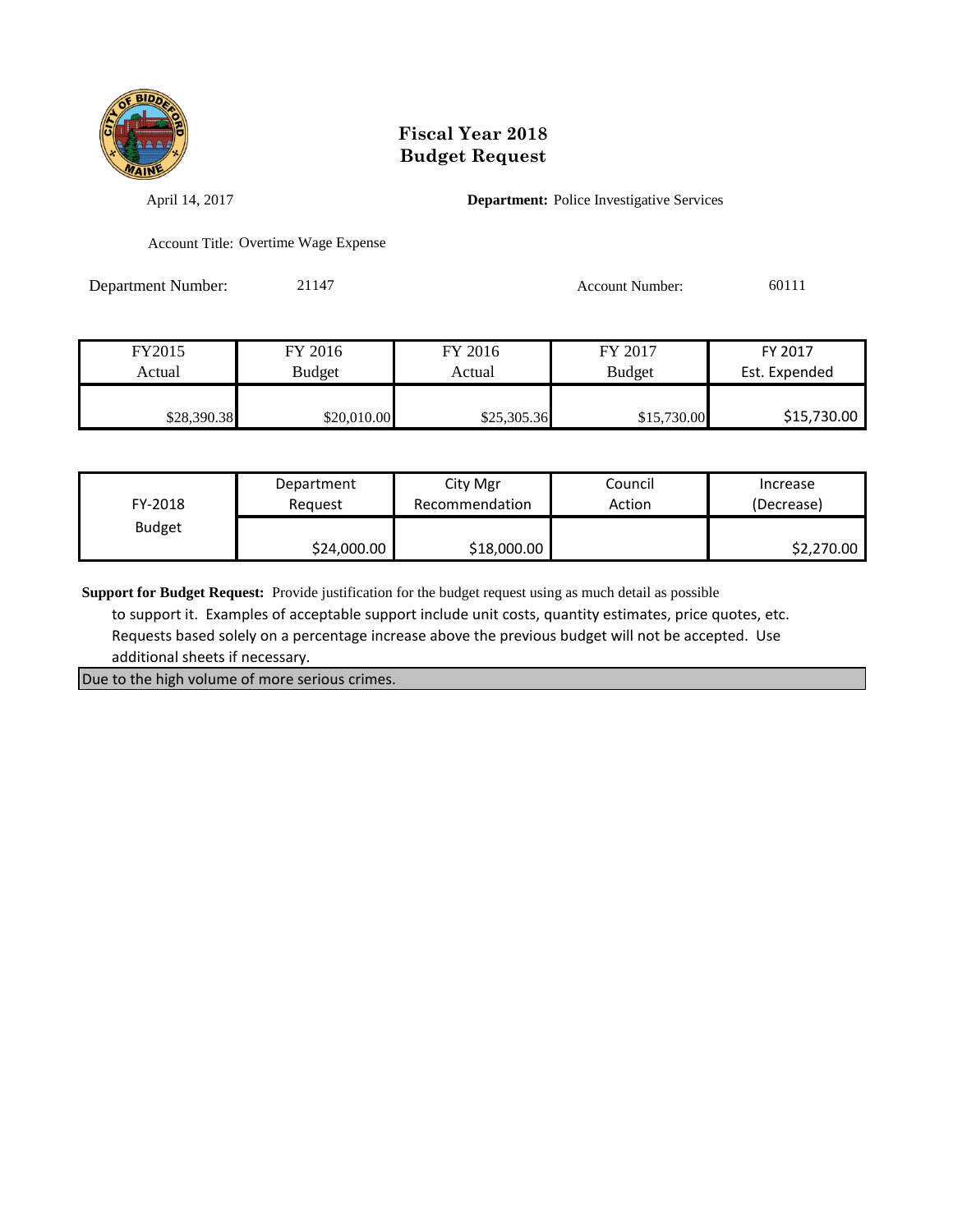

April 14, 2017 **Department:** Police Investigative Services

Account Title: Overtime Wage Expense

Department Number: 21147 Account Number: 60111

| FY2015      | FY 2016     | FY 2016     | FY 2017       | FY 2017       |
|-------------|-------------|-------------|---------------|---------------|
| Actual      | Budget      | Actual      | <b>Budget</b> | Est. Expended |
|             |             |             |               |               |
| \$28,390.38 | \$20,010.00 | \$25,305.36 | \$15,730.00   | \$15,730.00   |

| FY-2018       | Department  | City Mgr       | Council | Increase   |
|---------------|-------------|----------------|---------|------------|
|               | Reauest     | Recommendation | Action  | (Decrease) |
| <b>Budget</b> | \$24,000.00 | \$18,000.00    |         | \$2,270.00 |

**Support for Budget Request:** Provide justification for the budget request using as much detail as possible

 to support it. Examples of acceptable support include unit costs, quantity estimates, price quotes, etc. Requests based solely on a percentage increase above the previous budget will not be accepted. Use additional sheets if necessary.

Due to the high volume of more serious crimes.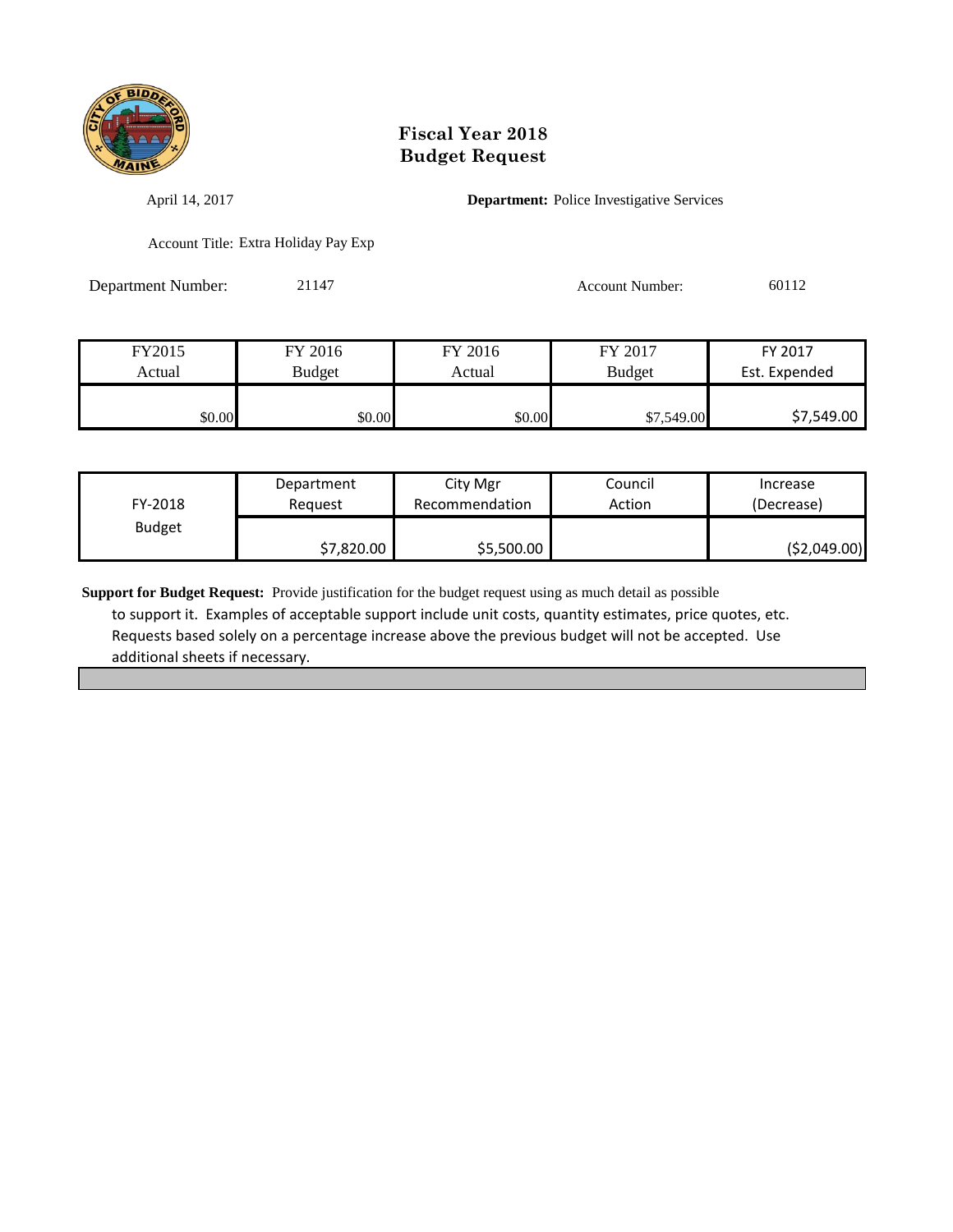

April 14, 2017 **Department:** Police Investigative Services

Account Title: Extra Holiday Pay Exp

Department Number: 21147 Account Number: 60112

| FY2015 | FY 2016       | FY 2016 | FY 2017       | FY 2017       |
|--------|---------------|---------|---------------|---------------|
| Actual | <b>Budget</b> | Actual  | <b>Budget</b> | Est. Expended |
|        |               |         |               |               |
| \$0.00 | \$0.00        | \$0.00  | \$7,549.00    | \$7,549.00    |

| FY-2018       | Department | City Mgr       | Council | Increase    |
|---------------|------------|----------------|---------|-------------|
|               | Reauest    | Recommendation | Action  | (Decrease)  |
| <b>Budget</b> | \$7,820.00 | \$5,500.00     |         | (52,049.00) |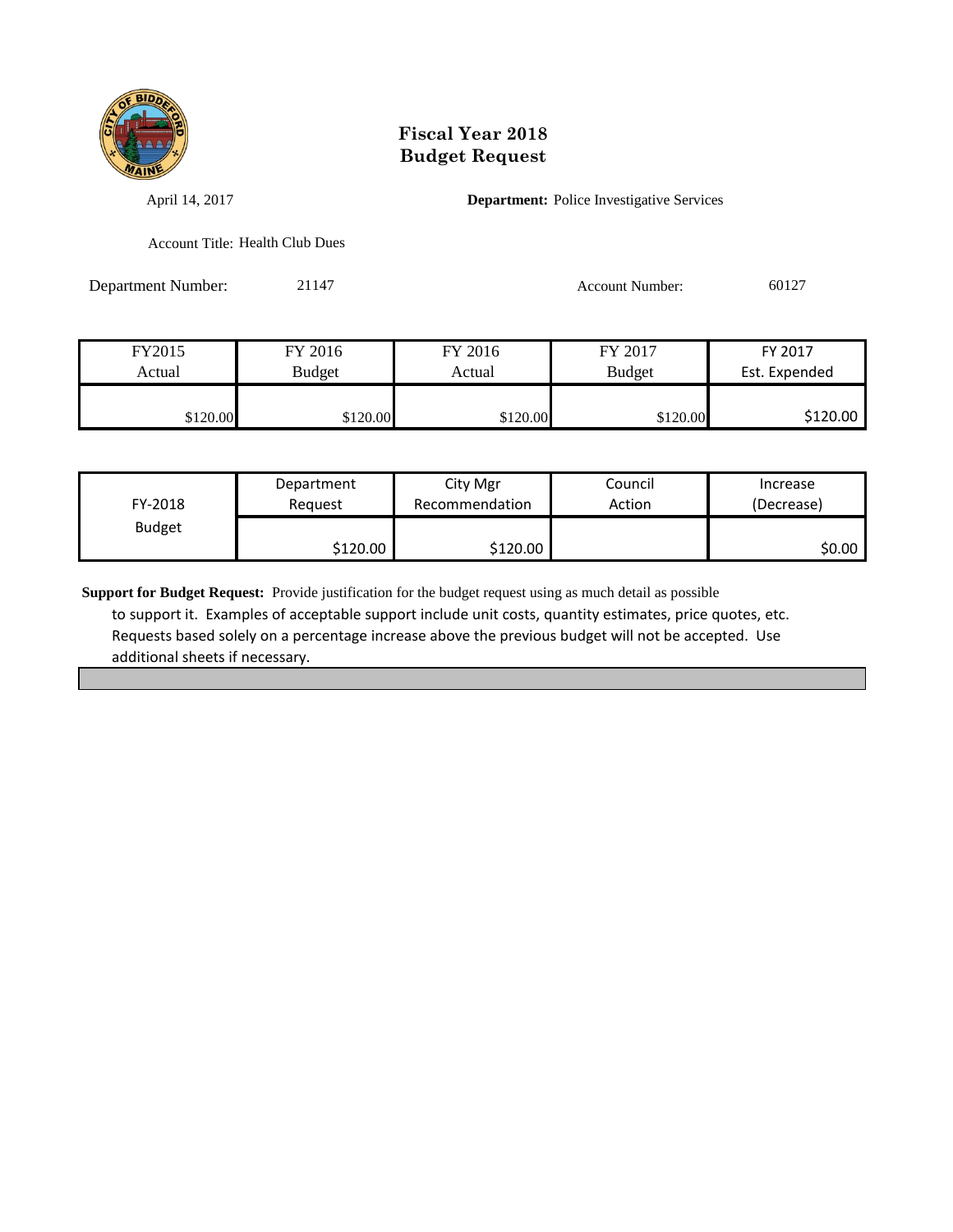

April 14, 2017 **Department:** Police Investigative Services

Account Title: Health Club Dues

Department Number: 21147 Account Number: 60127

| FY2015   | FY 2016       | FY 2016  | FY 2017       | FY 2017       |
|----------|---------------|----------|---------------|---------------|
| Actual   | <b>Budget</b> | Actual   | <b>Budget</b> | Est. Expended |
|          |               |          |               |               |
| \$120.00 | \$120.00      | \$120.00 | \$120.00      | \$120.00      |

| FY-2018       | Department | City Mgr       | Council | Increase   |
|---------------|------------|----------------|---------|------------|
|               | Reauest    | Recommendation | Action  | (Decrease) |
| <b>Budget</b> | S120.00 l  | \$120.00       |         | \$0.00     |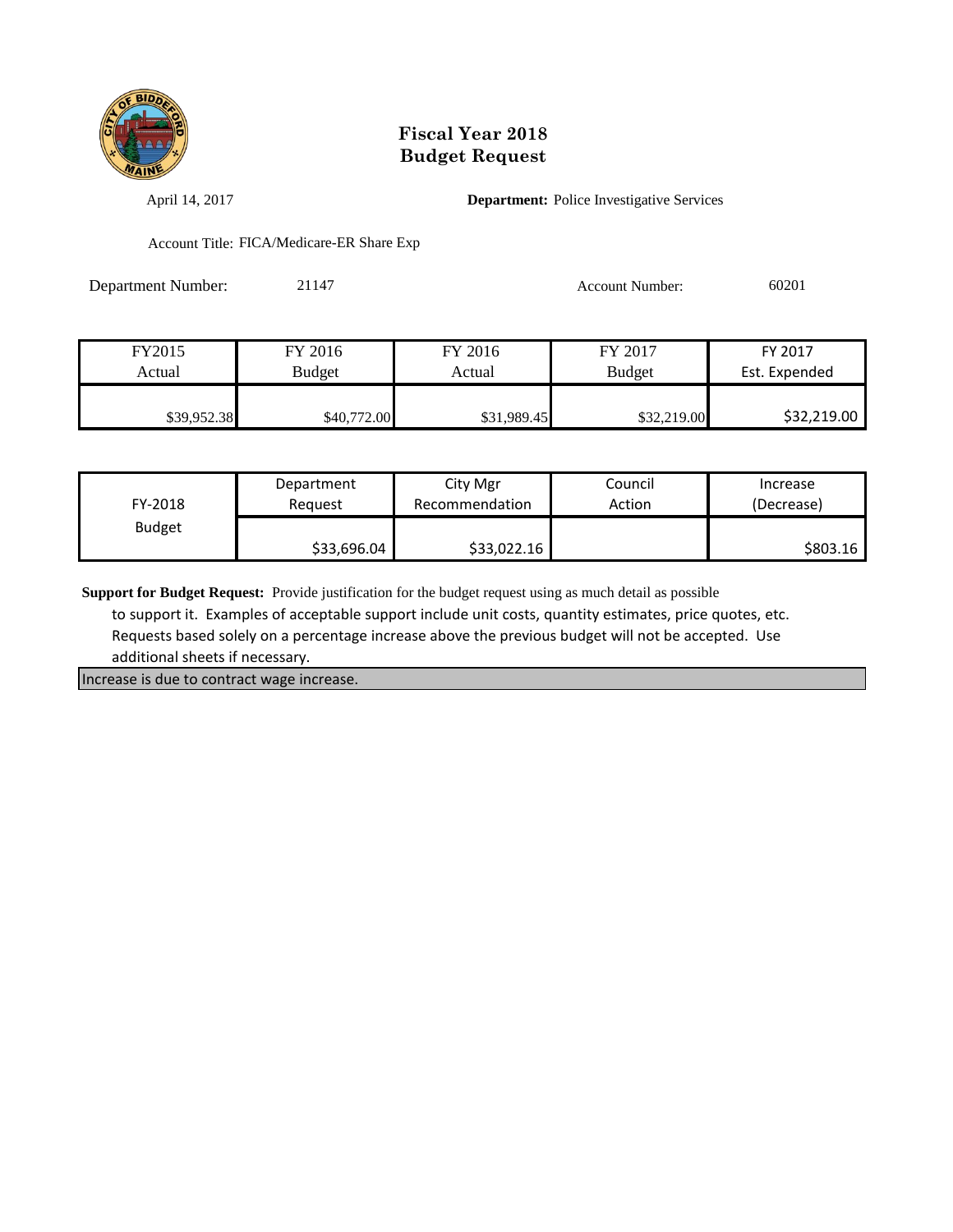

April 14, 2017 **Department:** Police Investigative Services

Account Title: FICA/Medicare-ER Share Exp

Department Number: 21147 Account Number: 60201

| FY2015      | FY 2016     | FY 2016     | FY 2017       | FY 2017       |
|-------------|-------------|-------------|---------------|---------------|
| Actual      | Budget      | Actual      | <b>Budget</b> | Est. Expended |
|             |             |             |               |               |
| \$39,952.38 | \$40,772.00 | \$31,989.45 | \$32,219.00   | \$32,219.00   |

| FY-2018       | Department  | City Mgr       | Council | Increase   |
|---------------|-------------|----------------|---------|------------|
|               | Reauest     | Recommendation | Action  | (Decrease) |
| <b>Budget</b> | \$33,696.04 | \$33,022.16    |         | \$803.16   |

**Support for Budget Request:** Provide justification for the budget request using as much detail as possible

 to support it. Examples of acceptable support include unit costs, quantity estimates, price quotes, etc. Requests based solely on a percentage increase above the previous budget will not be accepted. Use additional sheets if necessary.

Increase is due to contract wage increase.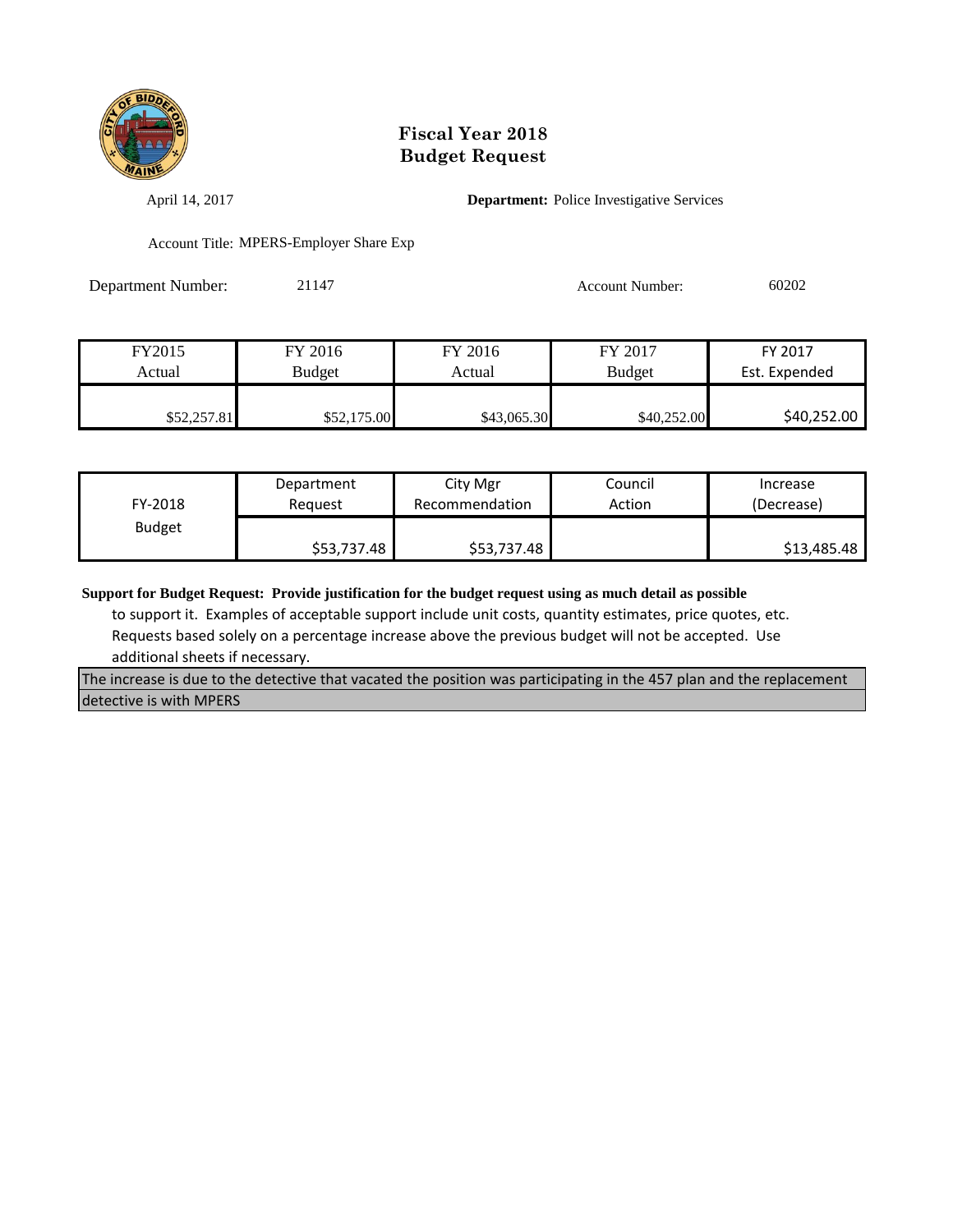

April 14, 2017 **Department:** Police Investigative Services

Account Title: MPERS-Employer Share Exp

Department Number: 21147 Account Number: 60202

| FY2015      | FY 2016     | FY 2016     | FY 2017       | FY 2017       |
|-------------|-------------|-------------|---------------|---------------|
| Actual      | Budget      | Actual      | <b>Budget</b> | Est. Expended |
|             |             |             |               |               |
| \$52,257.81 | \$52,175.00 | \$43,065.30 | \$40,252.00   | \$40,252.00   |

| FY-2018       | Department  | City Mgr       | Council | Increase    |
|---------------|-------------|----------------|---------|-------------|
|               | Reauest     | Recommendation | Action  | (Decrease)  |
| <b>Budget</b> | \$53,737.48 | \$53,737.48    |         | \$13,485.48 |

**Support for Budget Request: Provide justification for the budget request using as much detail as possible**

 to support it. Examples of acceptable support include unit costs, quantity estimates, price quotes, etc. Requests based solely on a percentage increase above the previous budget will not be accepted. Use additional sheets if necessary.

The increase is due to the detective that vacated the position was participating in the 457 plan and the replacement detective is with MPERS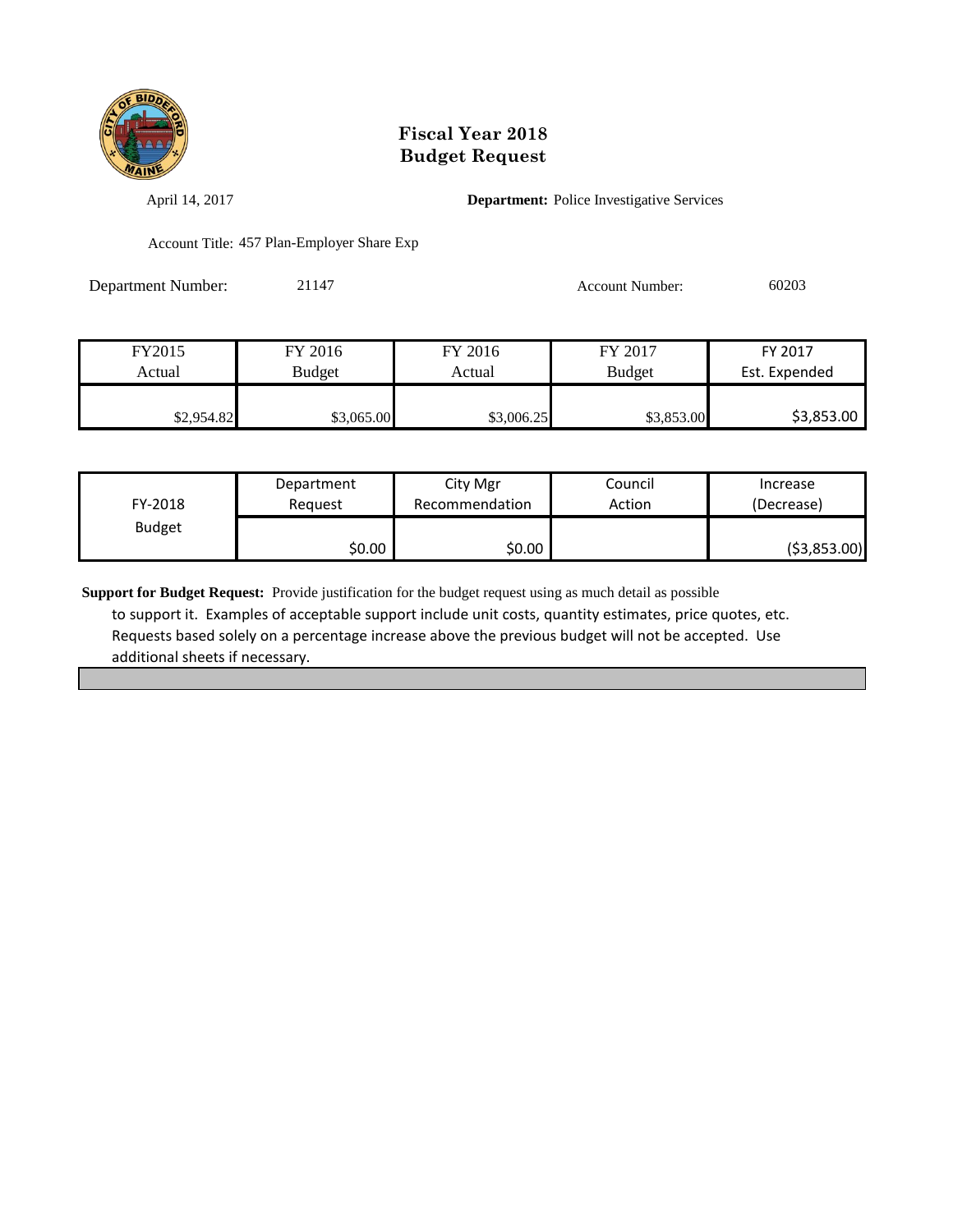

April 14, 2017 **Department:** Police Investigative Services

Account Title: 457 Plan-Employer Share Exp

Department Number: 21147 Account Number: 60203

| 60203 |
|-------|
|       |

| FY2015     | FY 2016    | FY 2016    | FY 2017       | FY 2017       |
|------------|------------|------------|---------------|---------------|
| Actual     | Budget     | Actual     | <b>Budget</b> | Est. Expended |
|            |            |            |               |               |
| \$2,954.82 | \$3,065.00 | \$3,006.25 | \$3,853.00    | \$3,853.00    |

| FY-2018       | Department | City Mgr       | Council | Increase    |
|---------------|------------|----------------|---------|-------------|
|               | Reauest    | Recommendation | Action  | (Decrease)  |
| <b>Budget</b> | \$0.00     | \$0.00         |         | (53,853.00) |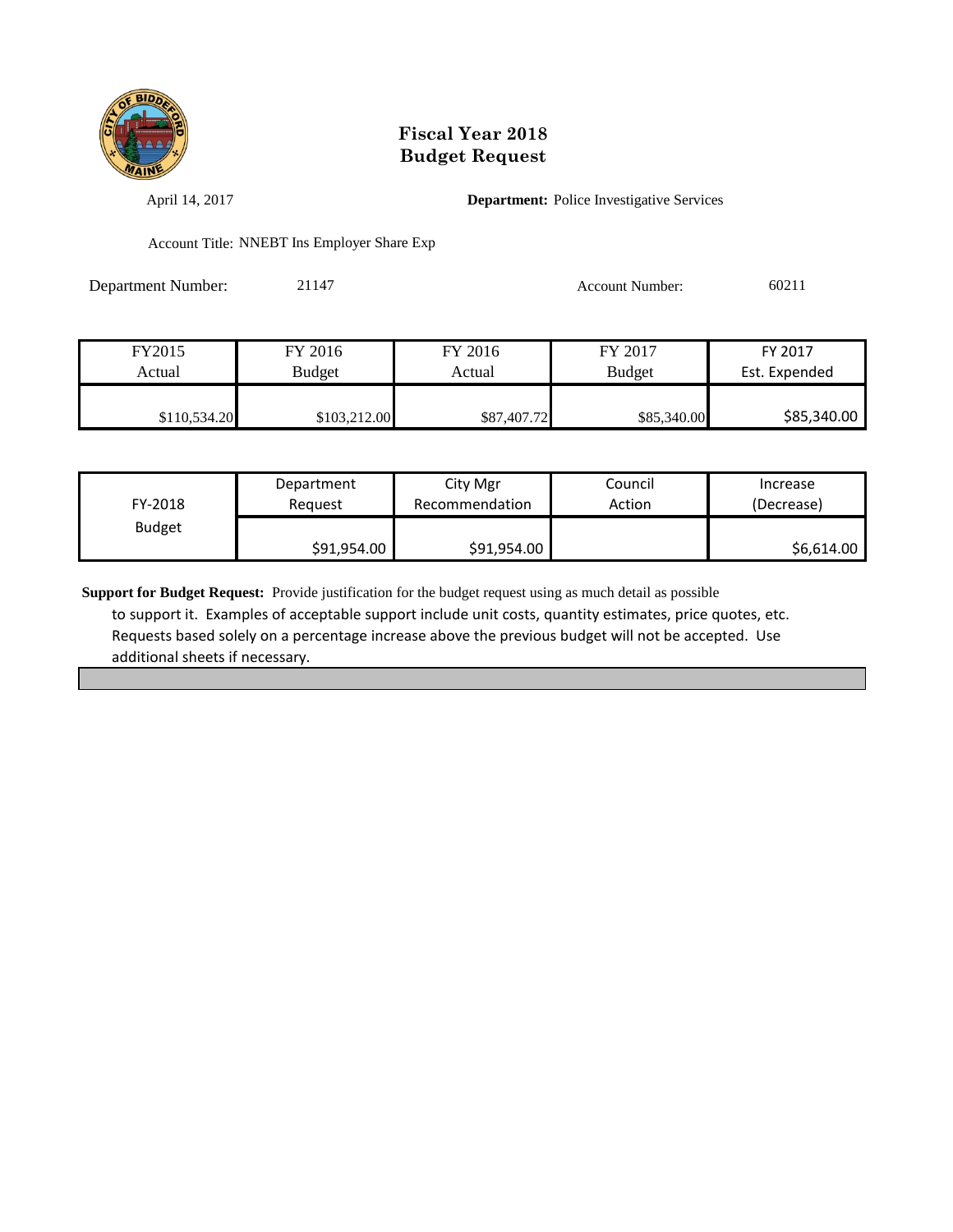

April 14, 2017 **Department:** Police Investigative Services

Account Title: NNEBT Ins Employer Share Exp

Department Number: 21147 Account Number: 60211

| FY2015       | FY 2016       | FY 2016     | FY 2017       | FY 2017       |
|--------------|---------------|-------------|---------------|---------------|
| Actual       | <b>Budget</b> | Actual      | <b>Budget</b> | Est. Expended |
|              |               |             |               |               |
| \$110,534.20 | \$103,212.00  | \$87,407.72 | \$85,340.00   | \$85,340.00   |

| FY-2018       | Department  | City Mgr       | Council | Increase   |
|---------------|-------------|----------------|---------|------------|
|               | Reauest     | Recommendation | Action  | (Decrease) |
| <b>Budget</b> | \$91,954.00 | \$91,954.00    |         | \$6,614.00 |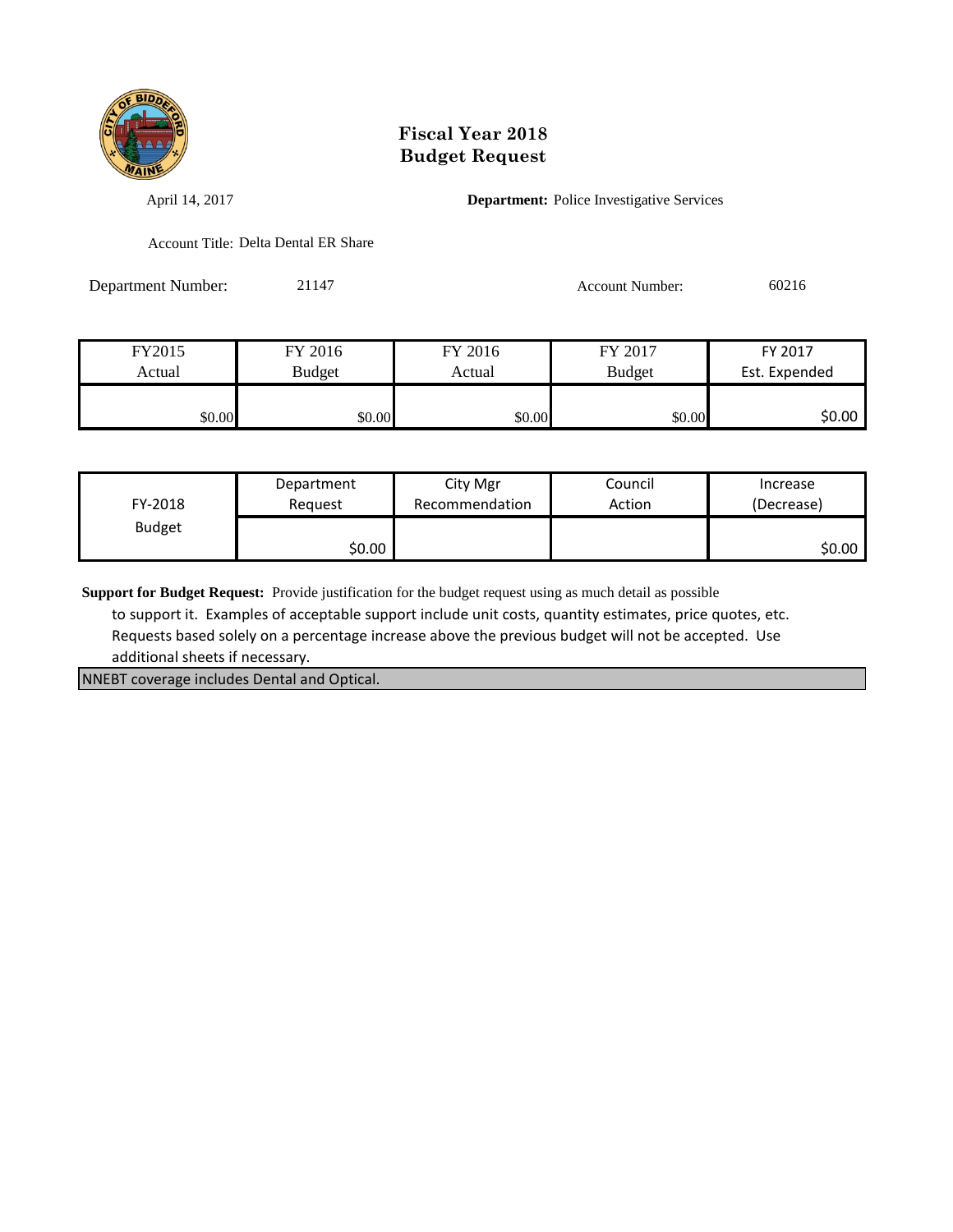

April 14, 2017 **Department:** Police Investigative Services

Account Title: Delta Dental ER Share

Department Number: 21147 Account Number: 60216

| FY2015 | FY 2016       | FY 2016 | FY 2017       | FY 2017       |
|--------|---------------|---------|---------------|---------------|
| Actual | <b>Budget</b> | Actual  | <b>Budget</b> | Est. Expended |
|        |               |         |               |               |
| \$0.00 | \$0.00        | \$0.00  | \$0.00        | \$0.00        |

| FY-2018       | Department | City Mgr       | Council | Increase   |
|---------------|------------|----------------|---------|------------|
|               | Reauest    | Recommendation | Action  | (Decrease) |
| <b>Budget</b> | \$0.00     |                |         | \$0.00     |

**Support for Budget Request:** Provide justification for the budget request using as much detail as possible

 to support it. Examples of acceptable support include unit costs, quantity estimates, price quotes, etc. Requests based solely on a percentage increase above the previous budget will not be accepted. Use additional sheets if necessary.

NNEBT coverage includes Dental and Optical.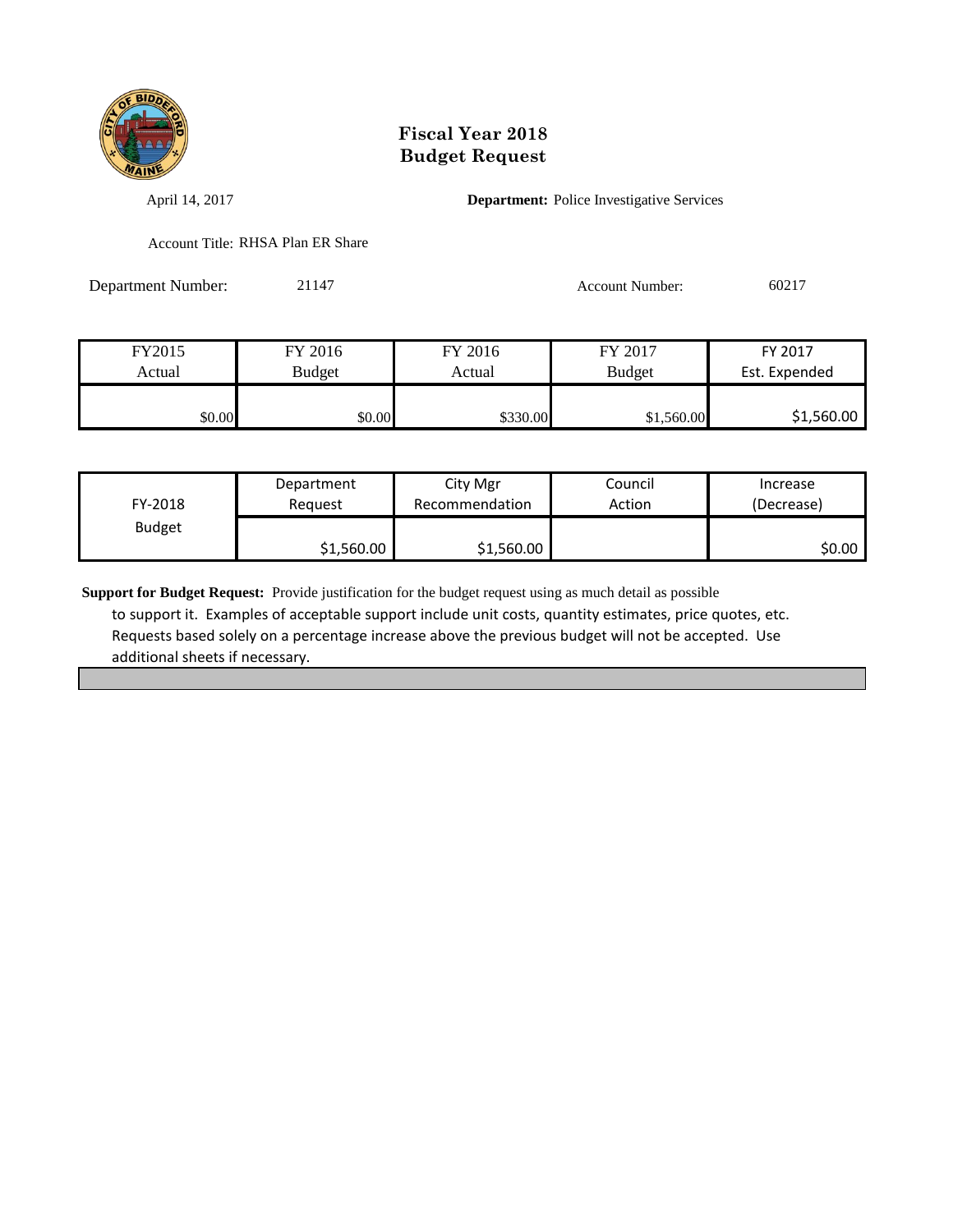

April 14, 2017 **Department:** Police Investigative Services

Account Title: RHSA Plan ER Share

Department Number: 21147 Account Number: 60217

| FY2015 | FY 2016 | FY 2016  | FY 2017       | FY 2017       |
|--------|---------|----------|---------------|---------------|
| Actual | Budget  | Actual   | <b>Budget</b> | Est. Expended |
|        |         |          |               |               |
| \$0.00 | \$0.00  | \$330.00 | \$1,560.00    | \$1,560.00    |

| FY-2018       | Department | City Mgr       | Council | Increase   |
|---------------|------------|----------------|---------|------------|
|               | Reauest    | Recommendation | Action  | (Decrease) |
| <b>Budget</b> | \$1,560.00 | \$1,560.00     |         | \$0.00     |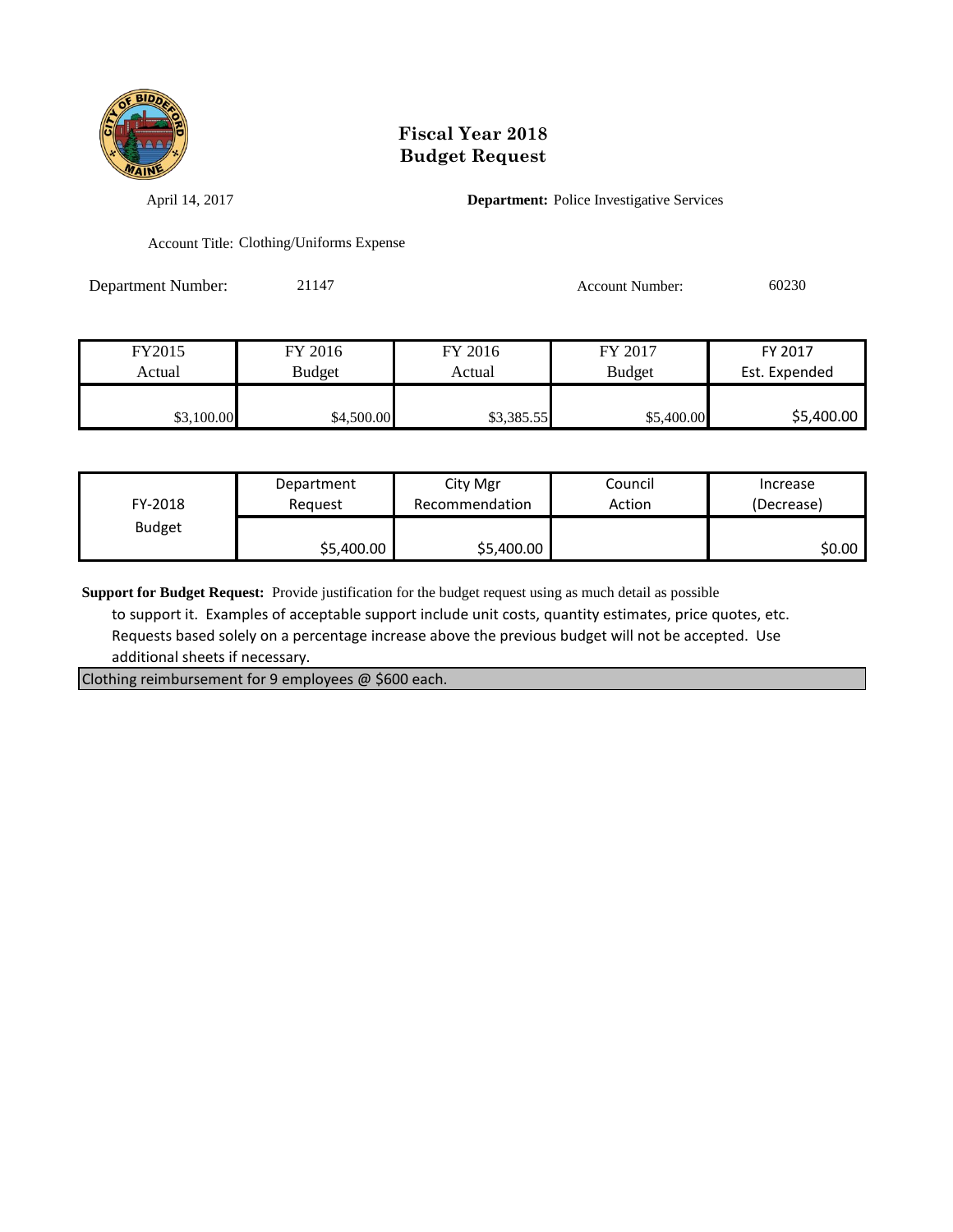

April 14, 2017 **Department:** Police Investigative Services

Account Title: Clothing/Uniforms Expense

Department Number: 21147 Account Number: 60230

| FY2015     | FY 2016       | FY 2016    | FY 2017       | FY 2017       |
|------------|---------------|------------|---------------|---------------|
| Actual     | <b>Budget</b> | Actual     | <b>Budget</b> | Est. Expended |
|            |               |            |               |               |
| \$3,100.00 | \$4,500.00    | \$3,385.55 | \$5,400.00    | \$5,400.00    |

| FY-2018       | Department | City Mgr       | Council | Increase   |
|---------------|------------|----------------|---------|------------|
|               | Reauest    | Recommendation | Action  | (Decrease) |
| <b>Budget</b> | \$5,400.00 | \$5,400.00     |         | \$0.00     |

**Support for Budget Request:** Provide justification for the budget request using as much detail as possible

 to support it. Examples of acceptable support include unit costs, quantity estimates, price quotes, etc. Requests based solely on a percentage increase above the previous budget will not be accepted. Use additional sheets if necessary.

Clothing reimbursement for 9 employees @ \$600 each.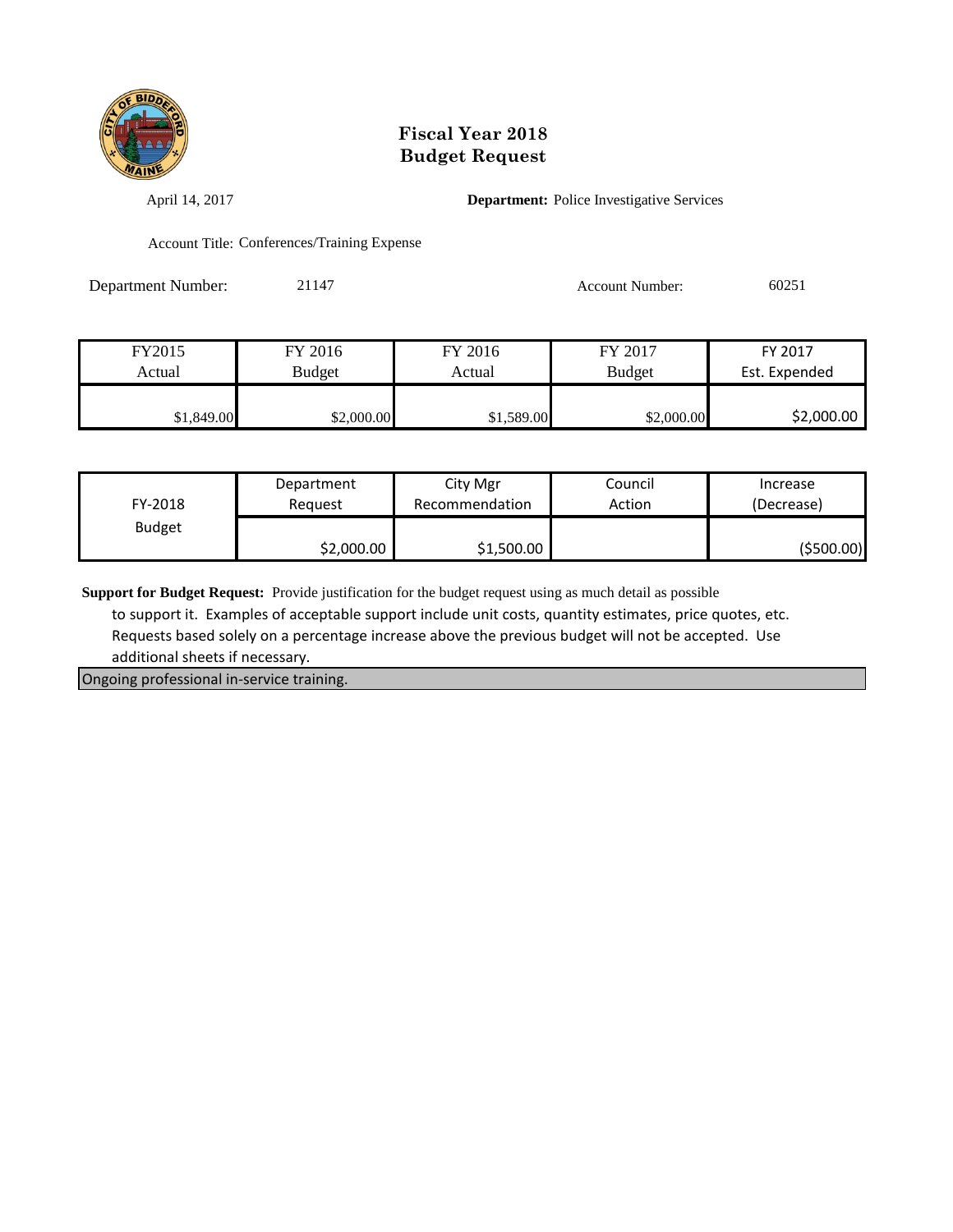

April 14, 2017 **Department:** Police Investigative Services

Account Title: Conferences/Training Expense

Department Number: 21147 Account Number: 60251

| FY2015     | FY 2016       | FY 2016    | FY 2017       | FY 2017       |
|------------|---------------|------------|---------------|---------------|
| Actual     | <b>Budget</b> | Actual     | <b>Budget</b> | Est. Expended |
|            |               |            |               |               |
| \$1,849.00 | \$2,000.00    | \$1,589.00 | \$2,000.00    | \$2,000.00    |

| FY-2018       | Department | City Mgr       | Council | Increase   |
|---------------|------------|----------------|---------|------------|
|               | Reauest    | Recommendation | Action  | (Decrease) |
| <b>Budget</b> | \$2,000.00 | \$1,500.00     |         | (\$500.00) |

**Support for Budget Request:** Provide justification for the budget request using as much detail as possible

 to support it. Examples of acceptable support include unit costs, quantity estimates, price quotes, etc. Requests based solely on a percentage increase above the previous budget will not be accepted. Use additional sheets if necessary.

Ongoing professional in-service training.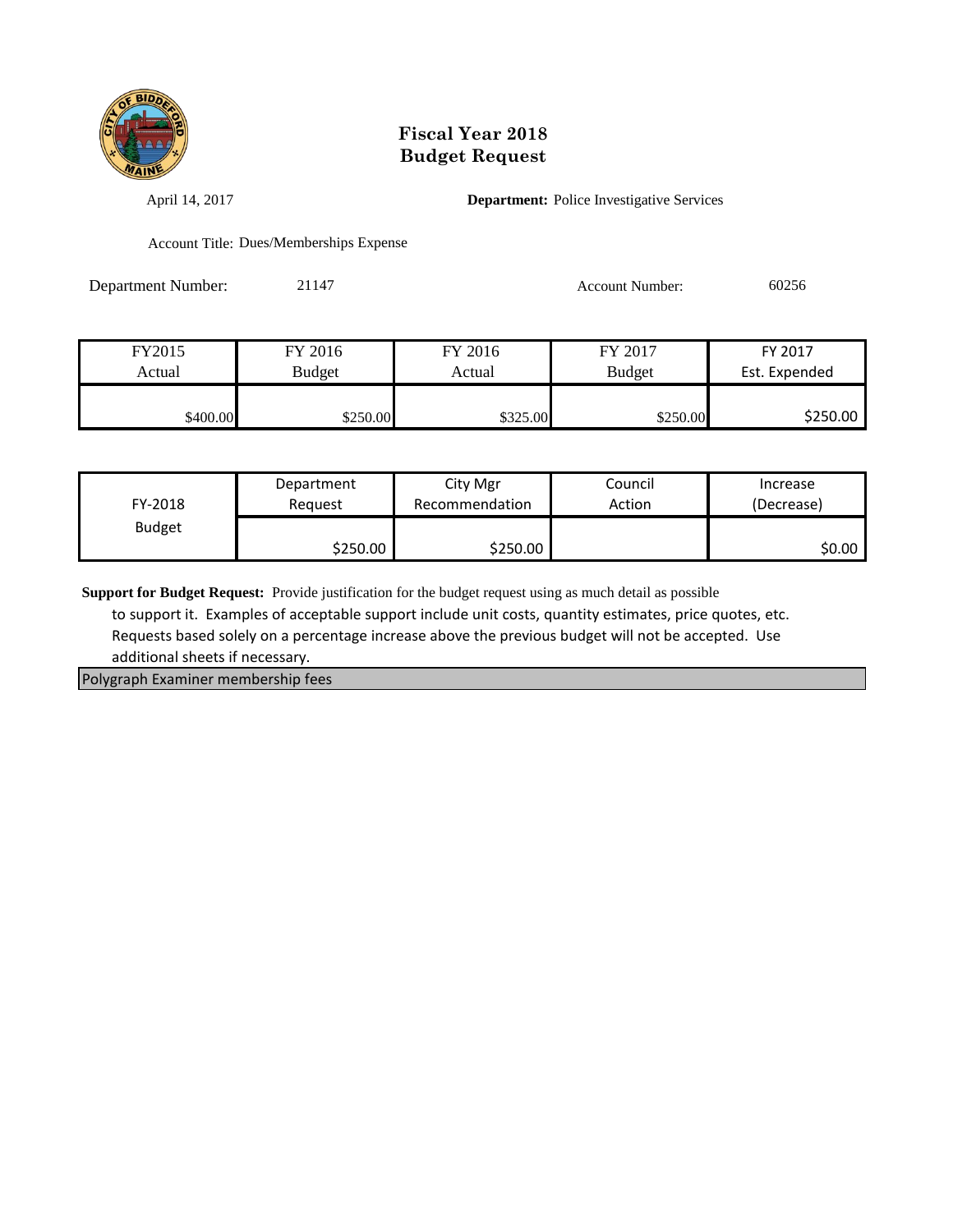

April 14, 2017 **Department:** Police Investigative Services

Account Title: Dues/Memberships Expense

Department Number: 21147 Account Number: 60256

| FY2015   | FY 2016       | FY 2016  | FY 2017       | FY 2017       |
|----------|---------------|----------|---------------|---------------|
| Actual   | <b>Budget</b> | Actual   | <b>Budget</b> | Est. Expended |
|          |               |          |               |               |
| \$400.00 | \$250.00      | \$325.00 | \$250.00      | \$250.00      |

| FY-2018       | Department | City Mgr       | Council | Increase   |
|---------------|------------|----------------|---------|------------|
|               | Reauest    | Recommendation | Action  | (Decrease) |
| <b>Budget</b> | \$250.00   | \$250.00       |         | \$0.00     |

**Support for Budget Request:** Provide justification for the budget request using as much detail as possible

 to support it. Examples of acceptable support include unit costs, quantity estimates, price quotes, etc. Requests based solely on a percentage increase above the previous budget will not be accepted. Use additional sheets if necessary.

Polygraph Examiner membership fees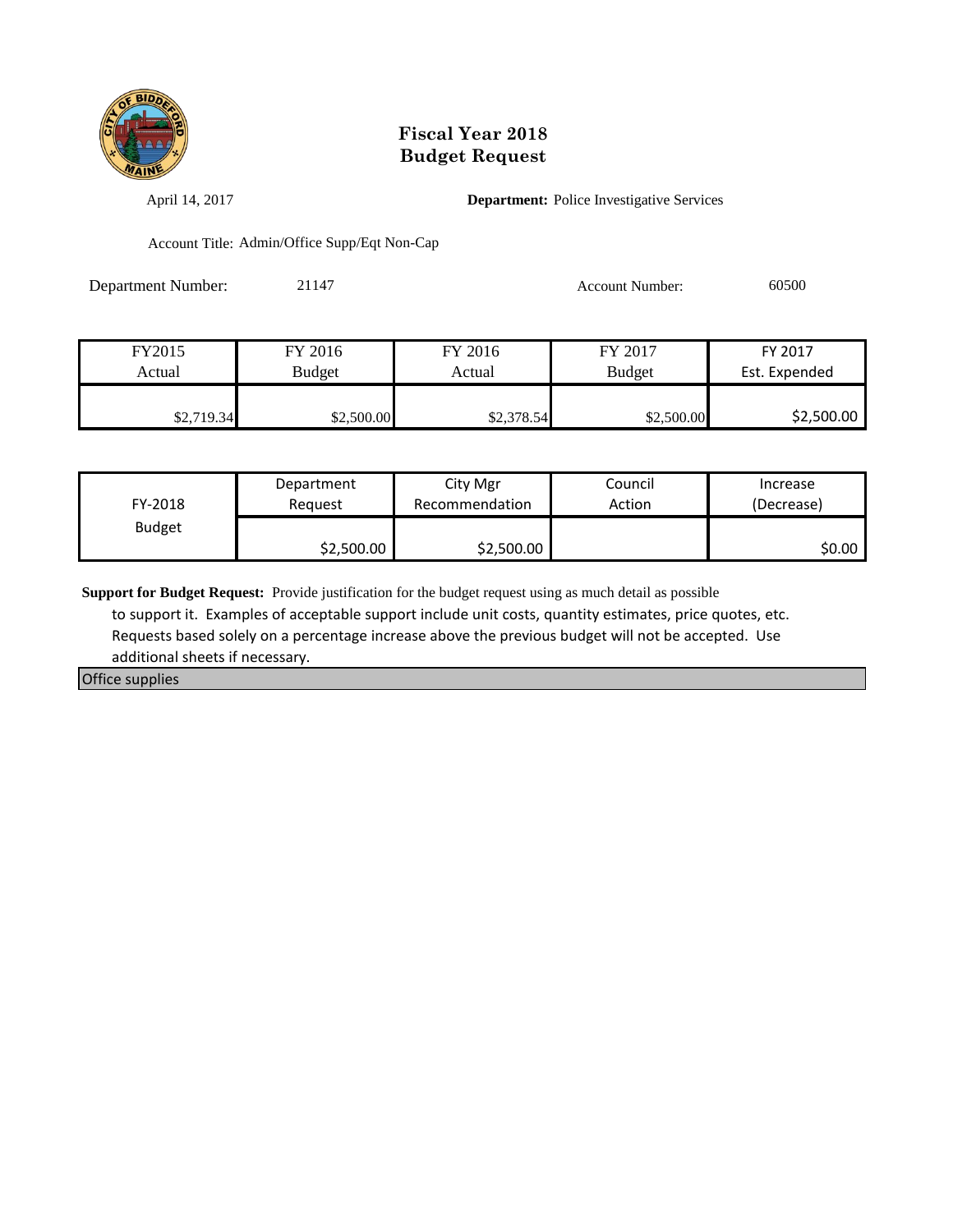

April 14, 2017 **Department:** Police Investigative Services

Account Title: Admin/Office Supp/Eqt Non-Cap

Department Number: 21147 Account Number: 60500

| FY2015     | FY 2016    | FY 2016    | FY 2017       | FY 2017       |
|------------|------------|------------|---------------|---------------|
| Actual     | Budget     | Actual     | <b>Budget</b> | Est. Expended |
|            |            |            |               |               |
| \$2,719.34 | \$2,500.00 | \$2,378.54 | \$2,500.00    | \$2,500.00    |

| FY-2018       | Department | City Mgr       | Council | Increase   |
|---------------|------------|----------------|---------|------------|
|               | Reauest    | Recommendation | Action  | (Decrease) |
| <b>Budget</b> | \$2,500.00 | \$2,500.00     |         | \$0.00     |

**Support for Budget Request:** Provide justification for the budget request using as much detail as possible

 to support it. Examples of acceptable support include unit costs, quantity estimates, price quotes, etc. Requests based solely on a percentage increase above the previous budget will not be accepted. Use additional sheets if necessary.

Office supplies